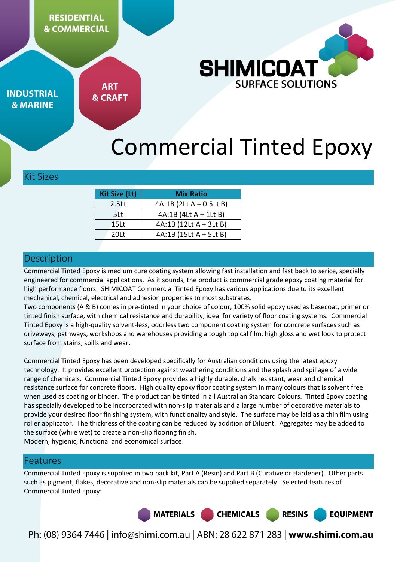**RESIDENTIAL & COMMERCIAL** 



**INDUSTRIAL & MARINE** 

**ART & CRAFT** 

# Commercial Tinted Epoxy

# Kit Sizes

| <b>Kit Size (Lt)</b> | <b>Mix Ratio</b>         |
|----------------------|--------------------------|
| 2.5 <sub>kt</sub>    | $4A:1B(2Lt A + 0.5Lt B)$ |
| 5Lt                  | $4A:1B(4LtA + 1LtB)$     |
| 15 <sub>kt</sub>     | 4A:1B (12Lt A + 3Lt B)   |
| 20 <sub>lt</sub>     | 4A:1B (15Lt A + 5Lt B)   |
|                      |                          |

# **Description**

Commercial Tinted Epoxy is medium cure coating system allowing fast installation and fast back to serice, specially engineered for commercial applications. As it sounds, the product is commercial grade epoxy coating material for high performance floors. SHIMICOAT Commercial Tinted Epoxy has various applications due to its excellent mechanical, chemical, electrical and adhesion properties to most substrates.

Two components (A & B) comes in pre-tinted in your choice of colour, 100% solid epoxy used as basecoat, primer or tinted finish surface, with chemical resistance and durability, ideal for variety of floor coating systems. Commercial Tinted Epoxy is a high-quality solvent-less, odorless two component coating system for concrete surfaces such as driveways, pathways, workshops and warehouses providing a tough topical film, high gloss and wet look to protect surface from stains, spills and wear.

Commercial Tinted Epoxy has been developed specifically for Australian conditions using the latest epoxy technology. It provides excellent protection against weathering conditions and the splash and spillage of a wide range of chemicals. Commercial Tinted Epoxy provides a highly durable, chalk resistant, wear and chemical resistance surface for concrete floors. High quality epoxy floor coating system in many colours that is solvent free when used as coating or binder. The product can be tinted in all Australian Standard Colours. Tinted Epoxy coating has specially developed to be incorporated with non-slip materials and a large number of decorative materials to provide your desired floor finishing system, with functionality and style. The surface may be laid as a thin film using roller applicator. The thickness of the coating can be reduced by addition of Diluent. Aggregates may be added to the surface (while wet) to create a non-slip flooring finish.

Modern, hygienic, functional and economical surface.

# Features

Commercial Tinted Epoxy is supplied in two pack kit, Part A (Resin) and Part B (Curative or Hardener). Other parts such as pigment, flakes, decorative and non-slip materials can be supplied separately. Selected features of Commercial Tinted Epoxy:

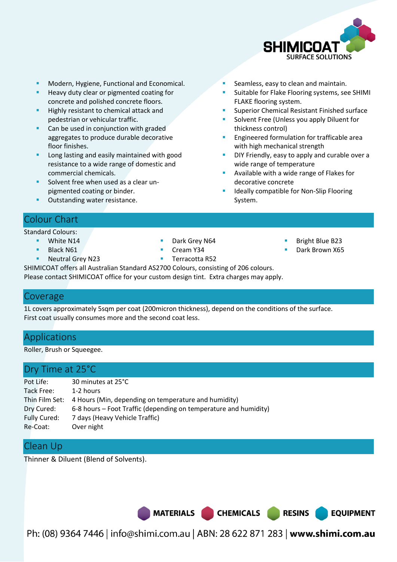

Seamless, easy to clean and maintain.

FLAKE flooring system.

with high mechanical strength

wide range of temperature

decorative concrete

System.

thickness control)

Suitable for Flake Flooring systems, see SHIMI

 Superior Chemical Resistant Finished surface Solvent Free (Unless you apply Diluent for

Engineered formulation for trafficable area

DIY Friendly, easy to apply and curable over a

Available with a wide range of Flakes for

Ideally compatible for Non-Slip Flooring

**RESINS** 

**EQUIPMENT** 

- Modern, Hygiene, Functional and Economical.
- Heavy duty clear or pigmented coating for concrete and polished concrete floors.
- Highly resistant to chemical attack and pedestrian or vehicular traffic.
- Can be used in conjunction with graded aggregates to produce durable decorative floor finishes.
- Long lasting and easily maintained with good resistance to a wide range of domestic and commercial chemicals.
- Solvent free when used as a clear unpigmented coating or binder.
- Outstanding water resistance.
- Colour Chart

Standard Colours:

- White N14
	- Black N61
- Neutral Grey N23

Dark Grey N64

- Bright Blue B23
- Dark Brown X65

 Cream Y34 Terracotta R52

SHIMICOAT offers all Australian Standard AS2700 Colours, consisting of 206 colours.

Please contact SHIMICOAT office for your custom design tint. Extra charges may apply.

### Coverage

1L covers approximately 5sqm per coat (200micron thickness), depend on the conditions of the surface. First coat usually consumes more and the second coat less.

# **Applications**

Roller, Brush or Squeegee.

| Dry Time at 25°C |                                                                  |
|------------------|------------------------------------------------------------------|
| Pot Life:        | 30 minutes at 25°C                                               |
| Tack Free:       | 1-2 hours                                                        |
| Thin Film Set:   | 4 Hours (Min, depending on temperature and humidity)             |
| Dry Cured:       | 6-8 hours – Foot Traffic (depending on temperature and humidity) |
| Fully Cured:     | 7 days (Heavy Vehicle Traffic)                                   |
| Re-Coat:         | Over night                                                       |
|                  |                                                                  |

### Clean Up

Thinner & Diluent (Blend of Solvents).

MATERIALS CHEMICALS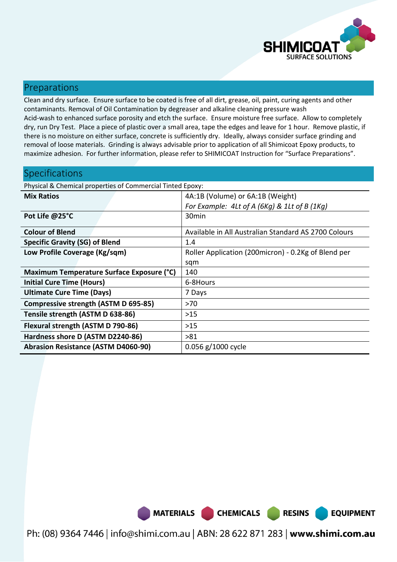

**EQUIPMENT** 

## Preparations

Clean and dry surface. Ensure surface to be coated is free of all dirt, grease, oil, paint, curing agents and other contaminants. Removal of Oil Contamination by degreaser and alkaline cleaning pressure wash Acid-wash to enhanced surface porosity and etch the surface. Ensure moisture free surface. Allow to completely dry, run Dry Test. Place a piece of plastic over a small area, tape the edges and leave for 1 hour. Remove plastic, if there is no moisture on either surface, concrete is sufficiently dry. Ideally, always consider surface grinding and removal of loose materials. Grinding is always advisable prior to application of all Shimicoat Epoxy products, to maximize adhesion. For further information, please refer to SHIMICOAT Instruction for "Surface Preparations".

| <b>Specifications</b>                                      |                                                      |  |  |
|------------------------------------------------------------|------------------------------------------------------|--|--|
| Physical & Chemical properties of Commercial Tinted Epoxy: |                                                      |  |  |
| <b>Mix Ratios</b>                                          | 4A:1B (Volume) or 6A:1B (Weight)                     |  |  |
|                                                            | For Example: 4Lt of A (6Kg) & 1Lt of B (1Kg)         |  |  |
| Pot Life @25°C                                             | 30 <sub>min</sub>                                    |  |  |
| <b>Colour of Blend</b>                                     | Available in All Australian Standard AS 2700 Colours |  |  |
| <b>Specific Gravity (SG) of Blend</b>                      | 1.4                                                  |  |  |
| Low Profile Coverage (Kg/sqm)                              | Roller Application (200micron) - 0.2Kg of Blend per  |  |  |
|                                                            | sqm                                                  |  |  |
| Maximum Temperature Surface Exposure (°C)                  | 140                                                  |  |  |
| <b>Initial Cure Time (Hours)</b>                           | 6-8Hours                                             |  |  |
| <b>Ultimate Cure Time (Days)</b>                           | 7 Days                                               |  |  |
| Compressive strength (ASTM D 695-85)                       | >70                                                  |  |  |
| Tensile strength (ASTM D 638-86)                           | >15                                                  |  |  |
| Flexural strength (ASTM D 790-86)                          | >15                                                  |  |  |
| Hardness shore D (ASTM D2240-86)                           | >81                                                  |  |  |
| <b>Abrasion Resistance (ASTM D4060-90)</b>                 | $0.056$ g/1000 cycle                                 |  |  |

MATERIALS CHEMICALS RESINS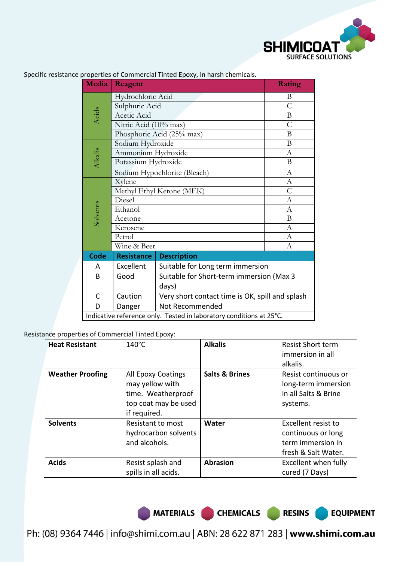

| <b>Media</b> | Reagent                      | Rating                                                              |                |  |
|--------------|------------------------------|---------------------------------------------------------------------|----------------|--|
|              | Hydrochloric Acid            | B                                                                   |                |  |
|              | Sulphuric Acid               | $\overline{C}$                                                      |                |  |
| Acids        | Acetic Acid                  | B                                                                   |                |  |
|              | Nitric Acid (10% max)        |                                                                     | $\overline{C}$ |  |
|              | Phosphoric Acid (25% max)    |                                                                     | B              |  |
|              | Sodium Hydroxide             |                                                                     | B              |  |
|              | Ammonium Hydroxide           |                                                                     | $\mathbf{A}$   |  |
| Alkalis      | Potassium Hydroxide          |                                                                     | B              |  |
|              | Sodium Hypochlorite (Bleach) |                                                                     | A              |  |
|              | Xylene                       |                                                                     | $\mathbf{A}$   |  |
|              | Methyl Ethyl Ketone (MEK)    |                                                                     | $\mathcal{C}$  |  |
| Solvents     | Diesel                       |                                                                     | A              |  |
|              | Ethanol                      |                                                                     | A              |  |
|              | Acetone                      |                                                                     | B              |  |
|              | Kerosene                     |                                                                     | A              |  |
|              | Petrol                       |                                                                     | $\mathbf{A}$   |  |
|              | Wine & Beer                  |                                                                     | A              |  |
| <b>Code</b>  | <b>Resistance</b>            | <b>Description</b>                                                  |                |  |
| A            | Excellent                    | Suitable for Long term immersion                                    |                |  |
| B            | Good                         | Suitable for Short-term immersion (Max 3                            |                |  |
|              |                              | days)                                                               |                |  |
| C            | Caution                      | Very short contact time is OK, spill and splash                     |                |  |
| D            | Danger                       | Not Recommended                                                     |                |  |
|              |                              | Indicative reference only. Tested in laboratory conditions at 25°C. |                |  |

Specific resistance properties of Commercial Tinted Epoxy, in harsh chemicals.

Resistance properties of Commercial Tinted Epoxy:

| <b>Heat Resistant</b>   | $140^{\circ}$ C                                                                                     | <b>Alkalis</b>            | <b>Resist Short term</b><br>immersion in all<br>alkalis.                              |
|-------------------------|-----------------------------------------------------------------------------------------------------|---------------------------|---------------------------------------------------------------------------------------|
| <b>Weather Proofing</b> | All Epoxy Coatings<br>may yellow with<br>time. Weatherproof<br>top coat may be used<br>if required. | <b>Salts &amp; Brines</b> | Resist continuous or<br>long-term immersion<br>in all Salts & Brine<br>systems.       |
| <b>Solvents</b>         | Resistant to most<br>hydrocarbon solvents<br>and alcohols.                                          | Water                     | Excellent resist to<br>continuous or long<br>term immersion in<br>fresh & Salt Water. |
| <b>Acids</b>            | Resist splash and<br>spills in all acids.                                                           | <b>Abrasion</b>           | Excellent when fully<br>cured (7 Days)                                                |

MATERIALS CHEMICALS RESINS

**EQUIPMENT**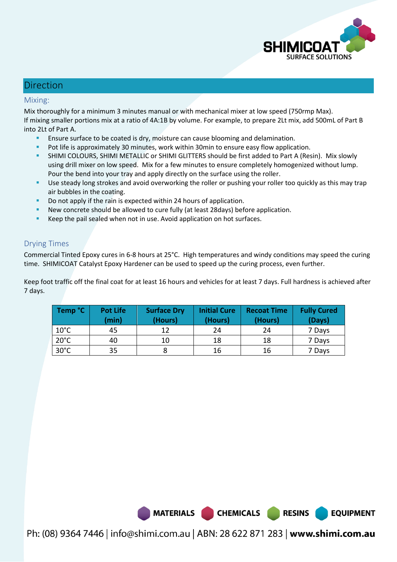

**EQUIPMENT** 

# **Direction**

#### Mixing:

Mix thoroughly for a minimum 3 minutes manual or with mechanical mixer at low speed (750rmp Max). If mixing smaller portions mix at a ratio of 4A:1B by volume. For example, to prepare 2Lt mix, add 500mL of Part B into 2Lt of Part A.

- Ensure surface to be coated is dry, moisture can cause blooming and delamination.
- Pot life is approximately 30 minutes, work within 30min to ensure easy flow application.
- SHIMI COLOURS, SHIMI METALLIC or SHIMI GLITTERS should be first added to Part A (Resin). Mix slowly using drill mixer on low speed. Mix for a few minutes to ensure completely homogenized without lump. Pour the bend into your tray and apply directly on the surface using the roller.
- Use steady long strokes and avoid overworking the roller or pushing your roller too quickly as this may trap air bubbles in the coating.
- Do not apply if the rain is expected within 24 hours of application.
- New concrete should be allowed to cure fully (at least 28days) before application.
- Keep the pail sealed when not in use. Avoid application on hot surfaces.

#### Drying Times

Commercial Tinted Epoxy cures in 6-8 hours at 25°C. High temperatures and windy conditions may speed the curing time. SHIMICOAT Catalyst Epoxy Hardener can be used to speed up the curing process, even further.

Keep foot traffic off the final coat for at least 16 hours and vehicles for at least 7 days. Full hardness is achieved after 7 days.

| Temp °C        | <b>Pot Life</b><br>(min) | <b>Surface Dry</b><br>(Hours) | <b>Initial Cure</b><br>(Hours) | <b>Recoat Time</b><br>(Hours) | <b>Fully Cured</b><br>(Days) |
|----------------|--------------------------|-------------------------------|--------------------------------|-------------------------------|------------------------------|
| $10^{\circ}$ C | 45                       | 12                            | 24                             | 24                            | 7 Days                       |
| $20^{\circ}$ C | 40                       | 10                            | 18                             | 18                            | 7 Days                       |
| $30^{\circ}$ C | 35                       |                               | 16                             | 16                            | 7 Days                       |